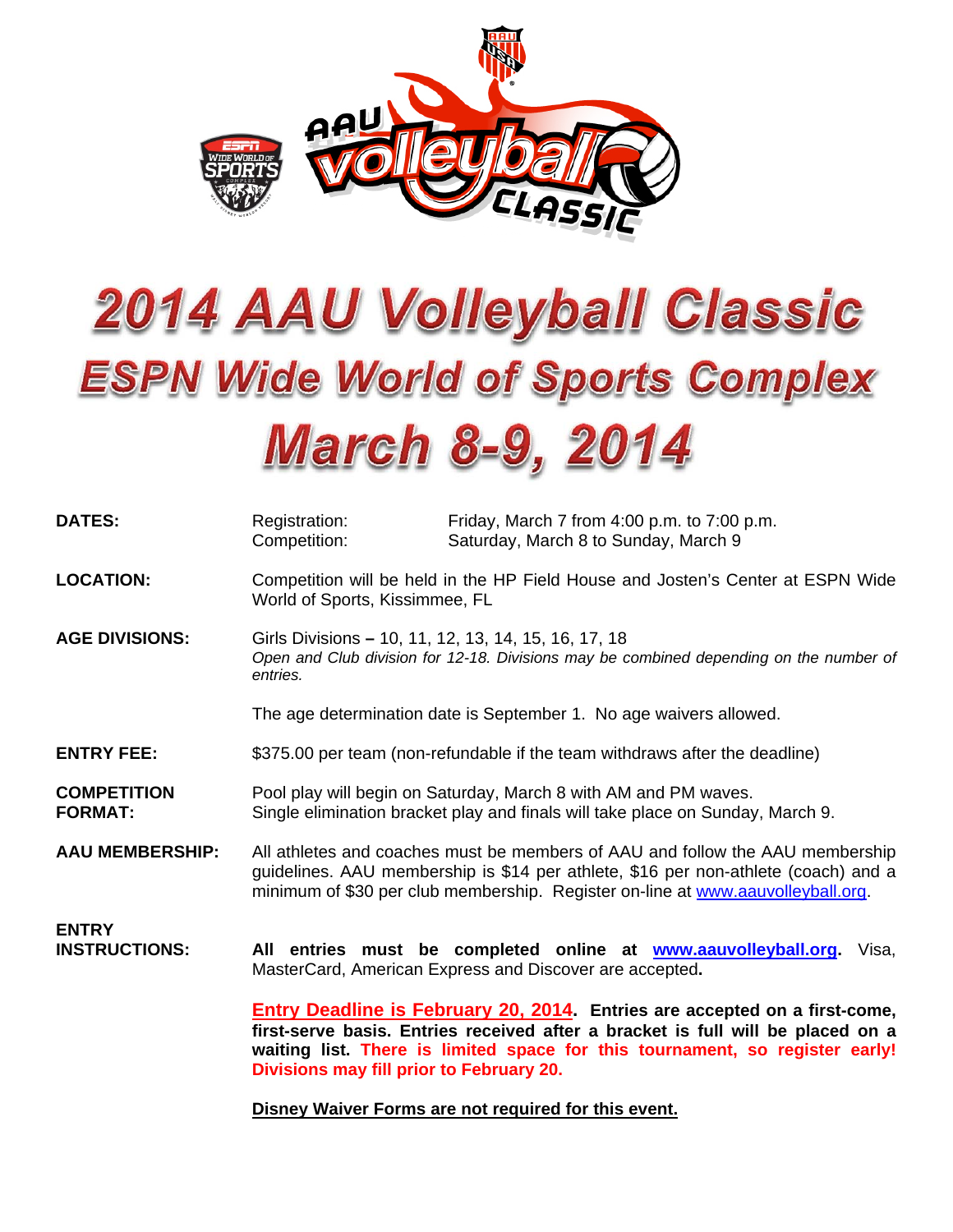

# **2014 AAU Volleyball Classic ESPN Wide World of Sports Complex March 8-9, 2014**

| <b>DATES:</b>                        | Registration:<br>Competition:                                                                                                                              | Friday, March 7 from 4:00 p.m. to 7:00 p.m.<br>Saturday, March 8 to Sunday, March 9                                                                                                                                                                    |
|--------------------------------------|------------------------------------------------------------------------------------------------------------------------------------------------------------|--------------------------------------------------------------------------------------------------------------------------------------------------------------------------------------------------------------------------------------------------------|
| <b>LOCATION:</b>                     | Competition will be held in the HP Field House and Josten's Center at ESPN Wide<br>World of Sports, Kissimmee, FL                                          |                                                                                                                                                                                                                                                        |
| <b>AGE DIVISIONS:</b>                | Girls Divisions - 10, 11, 12, 13, 14, 15, 16, 17, 18<br>Open and Club division for 12-18. Divisions may be combined depending on the number of<br>entries. |                                                                                                                                                                                                                                                        |
|                                      | The age determination date is September 1. No age waivers allowed.                                                                                         |                                                                                                                                                                                                                                                        |
| <b>ENTRY FEE:</b>                    | \$375.00 per team (non-refundable if the team withdraws after the deadline)                                                                                |                                                                                                                                                                                                                                                        |
| <b>COMPETITION</b><br><b>FORMAT:</b> | Pool play will begin on Saturday, March 8 with AM and PM waves.<br>Single elimination bracket play and finals will take place on Sunday, March 9.          |                                                                                                                                                                                                                                                        |
| <b>AAU MEMBERSHIP:</b>               |                                                                                                                                                            | All athletes and coaches must be members of AAU and follow the AAU membership<br>guidelines. AAU membership is \$14 per athlete, \$16 per non-athlete (coach) and a<br>minimum of \$30 per club membership. Register on-line at www.aauvolleyball.org. |
| <b>ENTRY</b><br><b>INSTRUCTIONS:</b> |                                                                                                                                                            | All entries must be completed online at www.aauvolleyball.org.<br>Visa,<br>MasterCard, American Express and Discover are accepted.                                                                                                                     |
|                                      | Divisions may fill prior to February 20.                                                                                                                   | <b>Entry Deadline is February 20, 2014.</b> Entries are accepted on a first-come,<br>first-serve basis. Entries received after a bracket is full will be placed on a<br>waiting list. There is limited space for this tournament, so register early!   |

**Disney Waiver Forms are not required for this event.**